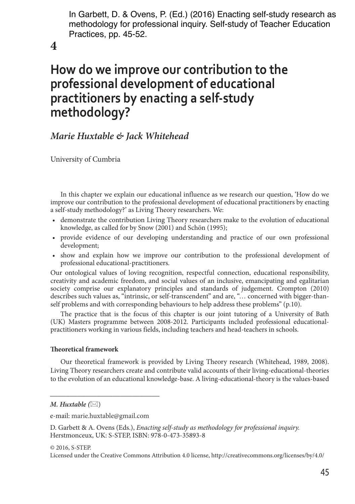In Garbett, D. & Ovens, P. (Ed.) (2016) Enacting self-study research as methodology for professional inquiry. Self-study of Teacher Education Practices, pp. 45-52.

**4**

# **How do we improve our contribution to the professional development of educational practitioners by enacting a self-study methodology?**

# *Marie Huxtable & Jack Whitehead*

University of Cumbria

In this chapter we explain our educational influence as we research our question, 'How do we improve our contribution to the professional development of educational practitioners by enacting a self-study methodology?' as Living Theory researchers. We:

- • demonstrate the contribution Living Theory researchers make to the evolution of educational knowledge, as called for by Snow (2001) and Schön (1995);
- provide evidence of our developing understanding and practice of our own professional development;
- • show and explain how we improve our contribution to the professional development of professional educational-practitioners.

Our ontological values of loving recognition, respectful connection, educational responsibility, creativity and academic freedom, and social values of an inclusive, emancipating and egalitarian society comprise our explanatory principles and standards of judgement. Crompton (2010) describes such values as, "intrinsic, or self-transcendent" and are, "… concerned with bigger-thanself problems and with corresponding behaviours to help address these problems" (p.10).

The practice that is the focus of this chapter is our joint tutoring of a University of Bath (UK) Masters programme between 2008-2012. Participants included professional educationalpractitioners working in various fields, including teachers and head-teachers in schools.

## **Theoretical framework**

Our theoretical framework is provided by Living Theory research (Whitehead, 1989, 2008). Living Theory researchers create and contribute valid accounts of their living-educational-theories to the evolution of an educational knowledge-base. A living-educational-theory is the values-based

*\_\_\_\_\_\_\_\_\_\_\_\_\_\_\_\_\_\_\_\_\_\_\_\_\_\_\_\_*

© 2016, S-STEP.

*M. Huxtable*  $(\boxtimes)$ 

e-mail: marie.huxtable@gmail.com

D. Garbett & A. Ovens (Eds.), *Enacting self-study as methodology for professional inquiry.* Herstmonceux, UK: S-STEP, ISBN: 978-0-473-35893-8

Licensed under the Creative Commons Attribution 4.0 license, http://creativecommons.org/licenses/by/4.0/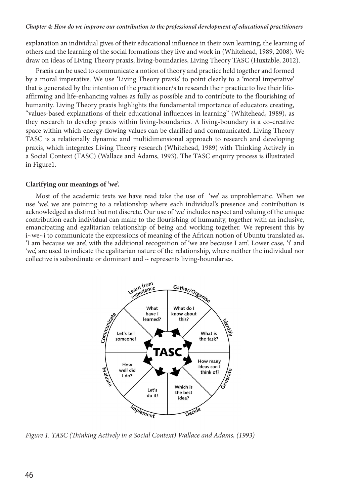explanation an individual gives of their educational influence in their own learning, the learning of others and the learning of the social formations they live and work in (Whitehead, 1989, 2008). We draw on ideas of Living Theory praxis, living-boundaries, Living Theory TASC (Huxtable, 2012).

Praxis can be used to communicate a notion of theory and practice held together and formed by a moral imperative. We use 'Living Theory praxis' to point clearly to a 'moral imperative' that is generated by the intention of the practitioner/s to research their practice to live their lifeaffirming and life-enhancing values as fully as possible and to contribute to the flourishing of humanity. Living Theory praxis highlights the fundamental importance of educators creating, "values-based explanations of their educational influences in learning" (Whitehead, 1989), as they research to develop praxis within living-boundaries. A living-boundary is a co-creative space within which energy-flowing values can be clarified and communicated. Living Theory TASC is a relationally dynamic and multidimensional approach to research and developing praxis, which integrates Living Theory research (Whitehead, 1989) with Thinking Actively in a Social Context (TASC) (Wallace and Adams, 1993). The TASC enquiry process is illustrated in Figure1.

#### **Clarifying our meanings of 'we'.**

Most of the academic texts we have read take the use of 'we' as unproblematic. When we use 'we', we are pointing to a relationship where each individual's presence and contribution is acknowledged as distinct but not discrete. Our use of 'we' includes respect and valuing of the unique contribution each individual can make to the flourishing of humanity, together with an inclusive, emancipating and egalitarian relationship of being and working together. We represent this by i~we~i to communicate the expressions of meaning of the African notion of Ubuntu translated as, 'I am because we are', with the additional recognition of 'we are because I am'. Lower case, 'i' and 'we', are used to indicate the egalitarian nature of the relationship, where neither the individual nor collective is subordinate or dominant and  $\sim$  represents living-boundaries.



*Figure 1. TASC (Thinking Actively in a Social Context) Wallace and Adams, (1993)*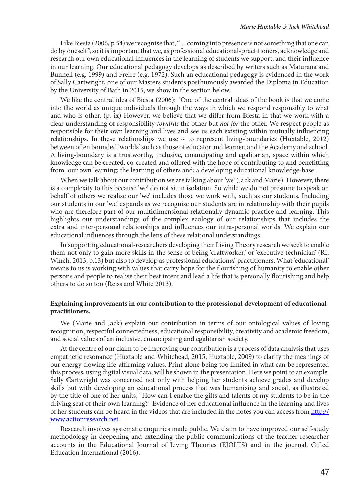Like Biesta (2006, p.54) we recognise that, "… coming into presence is not something that one can do by oneself ", so it is important that we, as professional educational-practitioners, acknowledge and research our own educational influences in the learning of students we support, and their influence in our learning. Our educational pedagogy develops as described by writers such as Maturana and Bunnell (e.g. 1999) and Freire (e.g. 1972). Such an educational pedagogy is evidenced in the work of Sally Cartwright, one of our Masters students posthumously awarded the Diploma in Education by the University of Bath in 2015, we show in the section below.

We like the central idea of Biesta (2006): 'One of the central ideas of the book is that we come into the world as unique individuals through the ways in which we respond responsibly to what and who is other. (p. ix) However, we believe that we differ from Biesta in that we work with a clear understanding of responsibility *towards* the other but *not for* the other. We respect people as responsible for their own learning and lives and see us each existing within mutually influencing relationships. In these relationships we use  $\sim$  to represent living-boundaries (Huxtable, 2012) between often bounded 'worlds' such as those of educator and learner, and the Academy and school. A living-boundary is a trustworthy, inclusive, emancipating and egalitarian, space within which knowledge can be created, co-created and offered with the hope of contributing to and benefitting from: our own learning; the learning of others and; a developing educational knowledge-base.

When we talk about our contribution we are talking about 'we' (Jack and Marie). However, there is a complexity to this because 'we' do not sit in isolation. So while we do not presume to speak on behalf of others we realise our 'we' includes those we work with, such as our students. Including our students in our 'we' expands as we recognise our students are in relationship with their pupils who are therefore part of our multidimensional relationally dynamic practice and learning. This highlights our understandings of the complex ecology of our relationships that includes the extra and inter-personal relationships and influences our intra-personal worlds. We explain our educational influences through the lens of these relational understandings.

In supporting educational-researchers developing their Living Theory research we seek to enable them not only to gain more skills in the sense of being 'craftworker,' or 'executive technician' (RI, Winch, 2013, p.13) but also to develop as professional education*al*-practitioners. What 'educational' means to us is working with values that carry hope for the flourishing of humanity to enable other persons and people to realise their best intent and lead a life that is personally flourishing and help others to do so too (Reiss and White 2013).

#### **Explaining improvements in our contribution to the professional development of educational practitioners.**

We (Marie and Jack) explain our contribution in terms of our ontological values of loving recognition, respectful connectedness, educational responsibility, creativity and academic freedom, and social values of an inclusive, emancipating and egalitarian society.

At the centre of our claim to be improving our contribution is a process of data analysis that uses empathetic resonance (Huxtable and Whitehead, 2015; Huxtable, 2009) to clarify the meanings of our energy-flowing life-affirming values. Print alone being too limited in what can be represented this process, using digital visual data, will be shown in the presentation. Here we point to an example. Sally Cartwright was concerned not only with helping her students achieve grades and develop skills but with developing an educational process that was humanising and social, as illustrated by the title of one of her units, "How can I enable the gifts and talents of my students to be in the driving seat of their own learning?" Evidence of her educational influence in the learning and lives of her students can be heard in the videos that are included in the notes you can access from http:// www.actionresearch.net.

Research involves systematic enquiries made public. We claim to have improved our self-study methodology in deepening and extending the public communications of the teacher-researcher accounts in the Educational Journal of Living Theories (EJOLTS) and in the journal, Gifted Education International (2016).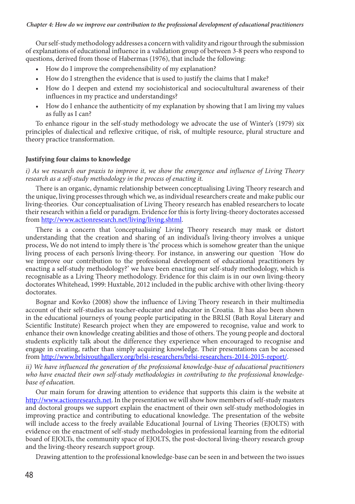Our self-study methodology addresses a concern with validity and rigour through the submission of explanations of educational influence in a validation group of between 3-8 peers who respond to questions, derived from those of Habermas (1976), that include the following:

- How do I improve the comprehensibility of my explanation?
- How do I strengthen the evidence that is used to justify the claims that I make?
- How do I deepen and extend my sociohistorical and sociocultultural awareness of their influences in my practice and understandings?
- How do I enhance the authenticity of my explanation by showing that I am living my values as fully as I can?

To enhance rigour in the self-study methodology we advocate the use of Winter's (1979) six principles of dialectical and reflexive critique, of risk, of multiple resource, plural structure and theory practice transformation.

#### **Justifying four claims to knowledge**

*i) As we research our praxis to improve it, we show the emergence and influence of Living Theory research as a self-study methodology in the process of enacting it.* 

There is an organic, dynamic relationship between conceptualising Living Theory research and the unique, living processes through which we, as individual researchers create and make public our living-theories. Our conceptualisation of Living Theory research has enabled researchers to locate their research within a field or paradigm. Evidence for this is forty living-theory doctorates accessed from http://www.actionresearch.net/living/living.shtml.

There is a concern that 'conceptualising' Living Theory research may mask or distort understanding that the creation and sharing of an individual's living-theory involves a unique process, We do not intend to imply there is 'the' process which is somehow greater than the unique living process of each person's living-theory. For instance, in answering our question 'How do we improve our contribution to the professional development of educational practitioners by enacting a self-study methodology?' we have been enacting our self-study methodology, which is recognisable as a Living Theory methodology. Evidence for this claim is in our own living-theory doctorates Whitehead, 1999: Huxtable, 2012 included in the public archive with other living-theory doctorates.

Bognar and Kovko (2008) show the influence of Living Theory research in their multimedia account of their self-studies as teacher-educator and educator in Croatia. It has also been shown in the educational journeys of young people participating in the BRLSI (Bath Royal Literary and Scientific Institute) Research project when they are empowered to recognise, value and work to enhance their own knowledge creating abilities and those of others. The young people and doctoral students explicitly talk about the difference they experience when encouraged to recognise and engage in creating, rather than simply acquiring knowledge. Their presentations can be accessed from http://www.brlsiyouthgallery.org/brlsi-researchers/brlsi-researchers-2014-2015-report/.

*ii) We have influenced the generation of the professional knowledge-base of educational practitioners who have enacted their own self-study methodologies in contributing to the professional knowledgebase of education.*

Our main forum for drawing attention to evidence that supports this claim is the website at http://www.actionresearch.net. In the presentation we will show how members of self-study masters and doctoral groups we support explain the enactment of their own self-study methodologies in improving practice and contributing to educational knowledge. The presentation of the website will include access to the freely available Educational Journal of Living Theories (EJOLTS) with evidence on the enactment of self-study methodologies in professional learning from the editorial board of EJOLTs, the community space of EJOLTS, the post-doctoral living-theory research group and the living-theory research support group.

Drawing attention to the professional knowledge-base can be seen in and between the two issues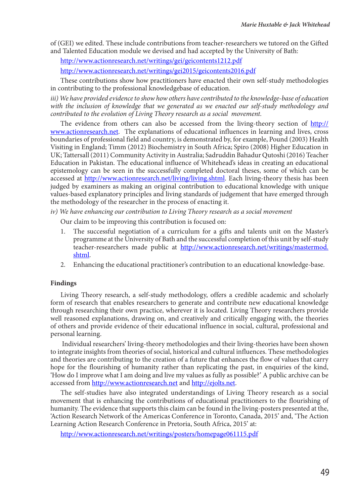of (GEI) we edited. These include contributions from teacher-researchers we tutored on the Gifted and Talented Education module we devised and had accepted by the University of Bath:

http://www.actionresearch.net/writings/gei/geicontents1212.pdf

http://www.actionresearch.net/writings/gei2015/geicontents2016.pdf

These contributions show how practitioners have enacted their own self-study methodologies in contributing to the professional knowledgebase of education.

*iii) We have provided evidence to show how others have contributed to the knowledge-base of education with the inclusion of knowledge that we generated as we enacted our self-study methodology and contributed to the evolution of Living Theory research as a social movement.*

The evidence from others can also be accessed from the living-theory section of http:// www.actionresearch.net. The explanations of educational influences in learning and lives, cross boundaries of professional field and country, is demonstrated by, for example, Pound (2003) Health Visiting in England; Timm (2012) Biochemistry in South Africa; Spiro (2008) Higher Education in UK; Tattersall (2011) Community Activity in Australia; Sadruddin Bahadur Qutoshi (2016) Teacher Education in Pakistan. The educational influence of Whitehead's ideas in creating an educational epistemology can be seen in the successfully completed doctoral theses, some of which can be accessed at http://www.actionresearch.net/living/living.shtml. Each living-theory thesis has been judged by examiners as making an original contribution to educational knowledge with unique values-based explanatory principles and living standards of judgement that have emerged through the methodology of the researcher in the process of enacting it.

*iv) We have enhancing our contribution to Living Theory research as a social movement*

Our claim to be improving this contribution is focused on:

- 1. The successful negotiation of a curriculum for a gifts and talents unit on the Master's programme at the University of Bath and the successful completion of this unit by self-study teacher-researchers made public at http://www.actionresearch.net/writings/mastermod. shtml.
- 2. Enhancing the educational practitioner's contribution to an educational knowledge-base.

#### **Findings**

Living Theory research, a self-study methodology, offers a credible academic and scholarly form of research that enables researchers to generate and contribute new educational knowledge through researching their own practice, wherever it is located. Living Theory researchers provide well reasoned explanations, drawing on, and creatively and critically engaging with, the theories of others and provide evidence of their educational influence in social, cultural, professional and personal learning.

 Individual researchers' living-theory methodologies and their living-theories have been shown to integrate insights from theories of social, historical and cultural influences. These methodologies and theories are contributing to the creation of a future that enhances the flow of values that carry hope for the flourishing of humanity rather than replicating the past, in enquiries of the kind, 'How do I improve what I am doing and live my values as fully as possible?' A public archive can be accessed from http://www.actionresearch.net and http://ejolts.net.

The self-studies have also integrated understandings of Living Theory research as a social movement that is enhancing the contributions of educational practitioners to the flourishing of humanity. The evidence that supports this claim can be found in the living-posters presented at the, 'Action Research Network of the Americas Conference in Toronto, Canada, 2015' and, 'The Action Learning Action Research Conference in Pretoria, South Africa, 2015' at:

http://www.actionresearch.net/writings/posters/homepage061115.pdf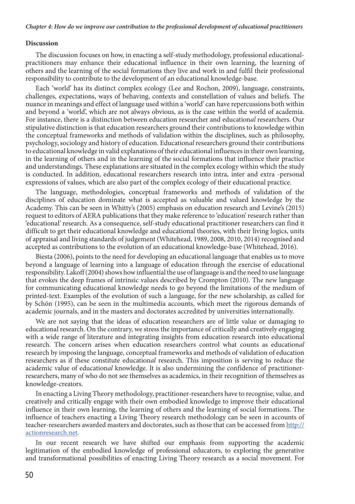#### **Discussion**

The discussion focuses on how, in enacting a self-study methodology, professional educationalpractitioners may enhance their educational influence in their own learning, the learning of others and the learning of the social formations they live and work in and fulfil their professional responsibility to contribute to the development of an educational knowledge-base.

Each 'world' has its distinct complex ecology (Lee and Rochon, 2009), language, constraints, challenges, expectations, ways of behaving, contexts and constellation of values and beliefs. The nuance in meanings and effect of language used within a 'world' can have repercussions both within and beyond a 'world', which are not always obvious, as is the case within the world of academia. For instance, there is a distinction between education researcher and education*al* researchers. Our stipulative distinction is that education researchers ground their contributions to knowledge within the conceptual frameworks and methods of validation within the disciplines, such as philosophy, psychology, sociology and history of education. Education*al* researchers ground their contributions to educational knowledge in valid explanations of their educational influences in their own learning, in the learning of others and in the learning of the social formations that influence their practice and understandings. These explanations are situated in the complex ecology within which the study is conducted. In addition, educational researchers research into intra, inter and extra -personal expressions of values, which are also part of the complex ecology of their educational practice.

The language, methodologies, conceptual frameworks and methods of validation of the disciplines of education dominate what is accepted as valuable and valued knowledge by the Academy. This can be seen in Whitty's (2005) emphasis on education research and Levine's (2015) request to editors of AERA publications that they make reference to 'education' research rather than 'educational' research. As a consequence, self-study educational practitioner researchers can find it difficult to get their educational knowledge and educational theories, with their living logics, units of appraisal and living standards of judgement (Whitehead, 1989, 2008, 2010, 2014) recognised and accepted as contributions to the evolution of an educational knowledge-base (Whitehead, 2016).

Biesta (2006), points to the need for developing an educational language that enables us to move beyond a language of learning into a language of education through the exercise of educational responsibility. Lakoff (2004) shows how influential the use of language is and the need to use language that evokes the deep frames of intrinsic values described by Crompton (2010). The new language for communicating educational knowledge needs to go beyond the limitations of the medium of printed-text. Examples of the evolution of such a language, for the new scholarship, as called for by Schön (1995), can be seen in the multimedia accounts, which meet the rigorous demands of academic journals, and in the masters and doctorates accredited by universities internationally.

We are not saying that the ideas of education researchers are of little value or damaging to educational research. On the contrary, we stress the importance of critically and creatively engaging with a wide range of literature and integrating insights from education research into educational research. The concern arises when education researchers control what counts as education*al* research by imposing the language, conceptual frameworks and methods of validation of education researchers as if these constitute education*al* research. This imposition is serving to reduce the academic value of education*al* knowledge. It is also undermining the confidence of practitionerresearchers, many of who do not see themselves as academics, in their recognition of themselves as knowledge-creators.

In enacting a Living Theory methodology, practitioner-researchers have to recognise, value, and creatively and critically engage with their own embodied knowledge to improve their educational influence in their own learning, the learning of others and the learning of social formations. The influence of teachers enacting a Living Theory research methodology can be seen in accounts of teacher-researchers awarded masters and doctorates, such as those that can be accessed from http:// actionresearch.net.

In our recent research we have shifted our emphasis from supporting the academic legitimation of the embodied knowledge of professional educators, to exploring the generative and transformational possibilities of enacting Living Theory research as a social movement. For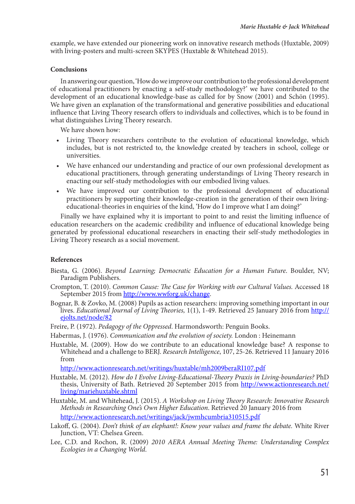example, we have extended our pioneering work on innovative research methods (Huxtable, 2009) with living-posters and multi-screen SKYPES (Huxtable & Whitehead 2015).

#### **Conclusions**

In answering our question, 'How do we improve our contribution to the professional development of educational practitioners by enacting a self-study methodology?' we have contributed to the development of an educational knowledge-base as called for by Snow (2001) and Schön (1995). We have given an explanation of the transformational and generative possibilities and educational influence that Living Theory research offers to individuals and collectives, which is to be found in what distinguishes Living Theory research.

We have shown how:

- • Living Theory researchers contribute to the evolution of educational knowledge, which includes, but is not restricted to, the knowledge created by teachers in school, college or universities.
- • We have enhanced our understanding and practice of our own professional development as educational practitioners, through generating understandings of Living Theory research in enacting our self-study methodologies with our embodied living values.
- • We have improved our contribution to the professional development of educational practitioners by supporting their knowledge-creation in the generation of their own livingeducational-theories in enquiries of the kind, 'How do I improve what I am doing?'

Finally we have explained why it is important to point to and resist the limiting influence of education researchers on the academic credibility and influence of educational knowledge being generated by professional educational researchers in enacting their self-study methodologies in Living Theory research as a social movement.

## **References**

- Biesta, G. (2006). *Beyond Learning; Democratic Education for a Human Future*. Boulder, NV; Paradigm Publishers.
- Crompton, T. (2010). *Common Cause: The Case for Working with our Cultural Values.* Accessed 18 September 2015 from http://www.wwforg.uk/change.
- Bognar, B. & Zovko, M. (2008) Pupils as action researchers: improving something important in our lives. *Educational Journal of Living Theories,* 1(1), 1-49. Retrieved 25 January 2016 from http:// ejolts.net/node/82
- Freire, P. (1972). *Pedagogy of the Oppressed*. Harmondsworth: Penguin Books.
- Habermas, J. (1976). *Communication and the evolution of society.* London : Heinemann
- Huxtable, M. (2009). How do we contribute to an educational knowledge base? A response to Whitehead and a challenge to BERJ. *Research Intelligence*, 107, 25-26. Retrieved 11 January 2016 from

http://www.actionresearch.net/writings/huxtable/mh2009beraRI107.pdf

- Huxtable, M. (2012). *How do I Evolve Living-Educational-Theory Praxis in Living-boundaries?* PhD thesis, University of Bath. Retrieved 20 September 2015 from http://www.actionresearch.net/ living/mariehuxtable.shtml
- Huxtable, M. and Whitehead, J. (2015). *A Workshop on Living Theory Research: Innovative Research Methods in Researching One's Own Higher Education*. Retrieved 20 January 2016 from http://www.actionresearch.net/writings/jack/jwmhcumbria310515.pdf
- Lakoff, G. (2004). *Don't think of an elephant!: Know your values and frame the debate.* White River Junction, VT: Chelsea Green.
- Lee, C.D. and Rochon, R. (2009) *2010 AERA Annual Meeting Theme: Understanding Complex Ecologies in a Changing World*.